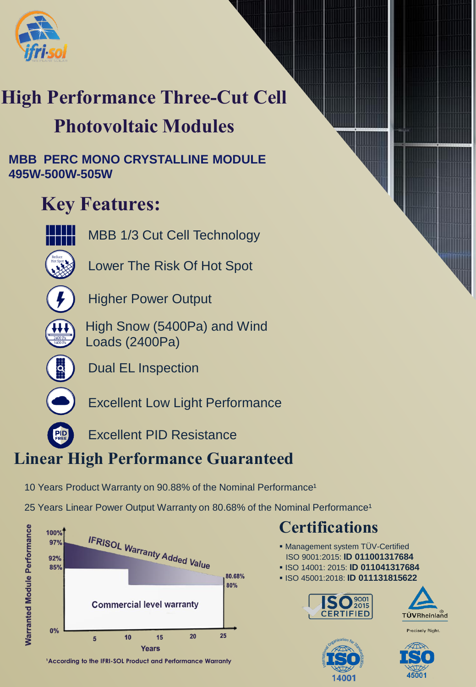

## **High Performance Three-Cut Cell**

### **Photovoltaic Modules**

**MBB PERC MONO CRYSTALLINE MODULE 495W-500W-505W**

### **Key Features:**



MBB 1/3 Cut Cell Technology



Lower The Risk Of Hot Spot



Higher Power Output



High Snow (5400Pa) and Wind Loads (2400Pa)



Dual EL Inspection



Excellent Low Light Performance

Excellent PID Resistance

### **Linear High Performance Guaranteed**

10 Years Product Warranty on 90.88% of the Nominal Performance<sup>1</sup>

25 Years Linear Power Output Warranty on 80.68% of the Nominal Performance<sup>1</sup>



<sup>1</sup> According to the IFRI-SOL Product and Performance Warranty

### **Certifications**

- **. Management system TÜV-Certified** ISO 9001:2015: **ID 011001317684**
- ISO 14001: 2015: **ID 011041317684**
- ISO 45001:2018: **ID 011131815622**